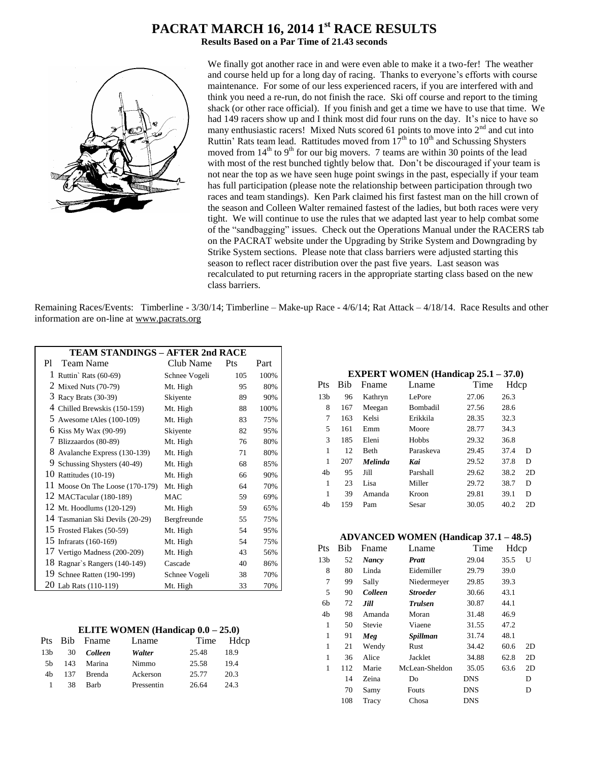# **PACRAT MARCH 16, 2014 1 st RACE RESULTS**

**Results Based on a Par Time of 21.43 seconds**



We finally got another race in and were even able to make it a two-fer! The weather and course held up for a long day of racing. Thanks to everyone's efforts with course maintenance. For some of our less experienced racers, if you are interfered with and think you need a re-run, do not finish the race. Ski off course and report to the timing shack (or other race official). If you finish and get a time we have to use that time. We had 149 racers show up and I think most did four runs on the day. It's nice to have so many enthusiastic racers! Mixed Nuts scored 61 points to move into  $2<sup>nd</sup>$  and cut into Ruttin' Rats team lead. Rattitudes moved from  $17<sup>th</sup>$  to  $10<sup>th</sup>$  and Schussing Shysters moved from  $14<sup>th</sup>$  to  $9<sup>th</sup>$  for our big movers. 7 teams are within 30 points of the lead with most of the rest bunched tightly below that. Don't be discouraged if your team is not near the top as we have seen huge point swings in the past, especially if your team has full participation (please note the relationship between participation through two races and team standings). Ken Park claimed his first fastest man on the hill crown of the season and Colleen Walter remained fastest of the ladies, but both races were very tight. We will continue to use the rules that we adapted last year to help combat some of the "sandbagging" issues. Check out the Operations Manual under the RACERS tab on the PACRAT website under the Upgrading by Strike System and Downgrading by Strike System sections. Please note that class barriers were adjusted starting this season to reflect racer distribution over the past five years. Last season was recalculated to put returning racers in the appropriate starting class based on the new class barriers.

Remaining Races/Events: Timberline - 3/30/14; Timberline – Make-up Race - 4/6/14; Rat Attack – 4/18/14. Race Results and other information are on-line at www.pacrats.org

|                                   | <b>TEAM STANDINGS - AFTER 2nd RACE</b> |     |      |  |  |  |
|-----------------------------------|----------------------------------------|-----|------|--|--|--|
| <b>Team Name</b><br>P1            | Club Name                              | Pts | Part |  |  |  |
| 1 Ruttin' Rats $(60-69)$          | Schnee Vogeli                          | 105 | 100% |  |  |  |
| 2 Mixed Nuts (70-79)              | Mt. High                               | 95  | 80%  |  |  |  |
| 3 Racy Brats (30-39)              | Skiyente                               | 89  | 90%  |  |  |  |
| 4 Chilled Brewskis (150-159)      | Mt. High                               | 88  | 100% |  |  |  |
| 5 Awesome tAles $(100-109)$       | Mt. High                               | 83  | 75%  |  |  |  |
| 6 Kiss My Wax (90-99)             | Skiyente                               | 82  | 95%  |  |  |  |
| 7 Blizzaardos (80-89)             | Mt. High                               | 76  | 80%  |  |  |  |
| 8<br>Avalanche Express (130-139)  | Mt. High                               | 71  | 80%  |  |  |  |
| 9 Schussing Shysters (40-49)      | Mt. High                               | 68  | 85%  |  |  |  |
| 10 Rattitudes (10-19)             | Mt. High                               | 66  | 90%  |  |  |  |
| 11 Moose On The Loose $(170-179)$ | Mt. High                               | 64  | 70%  |  |  |  |
| 12 MACTacular (180-189)           | MAC                                    | 59  | 69%  |  |  |  |
| 12 Mt. Hoodlums (120-129)         | Mt. High                               | 59  | 65%  |  |  |  |
| 14 Tasmanian Ski Devils (20-29)   | Bergfreunde                            | 55  | 75%  |  |  |  |
| 15 Frosted Flakes (50-59)         | Mt. High                               | 54  | 95%  |  |  |  |
| 15 Infrarats (160-169)            | Mt. High                               | 54  | 75%  |  |  |  |
| 17 Vertigo Madness (200-209)      | Mt. High                               | 43  | 56%  |  |  |  |
| 18 Ragnar's Rangers (140-149)     | Cascade                                | 40  | 86%  |  |  |  |
| 19 Schnee Ratten (190-199)        | Schnee Vogeli                          | 38  | 70%  |  |  |  |
| 20 Lab Rats (110-119)             | Mt. High                               | 33  | 70%  |  |  |  |

#### **ELITE WOMEN (Handicap 0.0 – 25.0)**

|                 |     | Pts Bib Fname | Lname      |       | Time Hdcp |
|-----------------|-----|---------------|------------|-------|-----------|
| 13 <sub>b</sub> |     | 30 Colleen    | Walter     | 25.48 | 18.9      |
| 5h              | 143 | Marina        | Nimmo      | 25.58 | 19.4      |
| 4h              | 137 | Brenda        | Ackerson   | 25.77 | 20.3      |
|                 | 38  | <b>Barb</b>   | Pressentin | 26.64 | 24.3      |
|                 |     |               |            |       |           |

#### **EXPERT WOMEN (Handicap 25.1 – 37.0)**

| Pts             | Bib | Fname          | Lname        | Time  | Hdcp |    |
|-----------------|-----|----------------|--------------|-------|------|----|
| 13 <sub>b</sub> | 96  | Kathryn        | LePore       | 27.06 | 26.3 |    |
| 8               | 167 | Meegan         | Bombadil     | 27.56 | 28.6 |    |
| 7               | 163 | Kelsi          | Erikkila     | 28.35 | 32.3 |    |
| 5               | 161 | Emm            | Moore        | 28.77 | 34.3 |    |
| 3               | 185 | Eleni          | <b>Hobbs</b> | 29.32 | 36.8 |    |
| 1               | 12  | <b>Beth</b>    | Paraskeva    | 29.45 | 37.4 | D  |
| 1               | 207 | <b>Melinda</b> | Kai          | 29.52 | 37.8 | D  |
| 4 <sub>b</sub>  | 95  | Jill           | Parshall     | 29.62 | 38.2 | 2D |
| 1               | 23  | Lisa           | Miller       | 29.72 | 38.7 | D  |
| 1               | 39  | Amanda         | Kroon        | 29.81 | 39.1 | D  |
| 4b              | 159 | Pam            | Sesar        | 30.05 | 40.2 | 2D |
|                 |     |                |              |       |      |    |

#### **ADVANCED WOMEN (Handicap 37.1 – 48.5)**

| Pts             | Bib | Fname          | Lname           | Time       | Hdcp |    |
|-----------------|-----|----------------|-----------------|------------|------|----|
| 13 <sub>b</sub> | 52  | <b>Nancy</b>   | <b>Pratt</b>    | 29.04      | 35.5 | U  |
| 8               | 80  | Linda          | Eidemiller      | 29.79      | 39.0 |    |
| 7               | 99  | Sally          | Niedermeyer     | 29.85      | 39.3 |    |
| 5               | 90  | <b>Colleen</b> | <b>Stroeder</b> | 30.66      | 43.1 |    |
| 6b              | 72  | Jill           | <b>Trulsen</b>  | 30.87      | 44.1 |    |
| 4b              | 98  | Amanda         | Moran           | 31.48      | 46.9 |    |
| 1               | 50  | Stevie         | Viaene          | 31.55      | 47.2 |    |
| 1               | 91  | Meg            | Spillman        | 31.74      | 48.1 |    |
| 1               | 21  | Wendy          | Rust            | 34.42      | 60.6 | 2D |
| 1               | 36  | Alice          | Jacklet         | 34.88      | 62.8 | 2D |
| 1               | 112 | Marie          | McLean-Sheldon  | 35.05      | 63.6 | 2D |
|                 | 14  | Zeina          | Do              | DNS        |      | D  |
|                 | 70  | Samy           | Fouts           | <b>DNS</b> |      | D  |
|                 | 108 | Tracy          | Chosa           | <b>DNS</b> |      |    |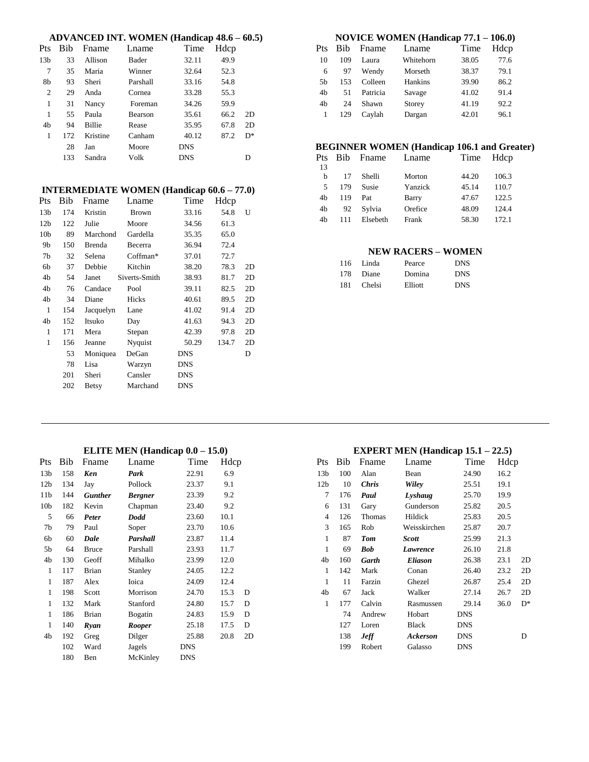|                 |     |               | <b>ADVANCED INT. WOMEN (Handicap 48.6 – 60.5)</b> |            |       |    |
|-----------------|-----|---------------|---------------------------------------------------|------------|-------|----|
| Pts             | Bib | Fname         | Lname                                             | Time       | Hdcp  |    |
| 13 <sub>b</sub> | 33  | Allison       | Bader                                             | 32.11      | 49.9  |    |
| 7               | 35  | Maria         | Winner                                            | 32.64      | 52.3  |    |
| 8b              | 93  | Sheri         | Parshall                                          | 33.16      | 54.8  |    |
| $\overline{2}$  | 29  | Anda          | Cornea                                            | 33.28      | 55.3  |    |
| 1               | 31  | Nancy         | Foreman                                           | 34.26      | 59.9  |    |
| 1               | 55  | Paula         | Bearson                                           | 35.61      | 66.2  | 2D |
| 4b              | 94  | Billie        | Rease                                             | 35.95      | 67.8  | 2D |
| 1               | 172 | Kristine      | Canham                                            | 40.12      | 87.2  | D* |
|                 | 28  | Jan           | Moore                                             | <b>DNS</b> |       |    |
|                 | 133 | Sandra        | Volk                                              | <b>DNS</b> |       | D  |
|                 |     |               |                                                   |            |       |    |
|                 |     |               |                                                   |            |       |    |
|                 |     |               | <b>INTERMEDIATE WOMEN (Handicap 60.6 – 77.0)</b>  |            |       |    |
| Pts             | Bib | Fname         | Lname                                             | Time       | Hdcp  |    |
| 13 <sub>b</sub> | 174 | Kristin       | <b>Brown</b>                                      | 33.16      | 54.8  | U  |
| 12 <sub>b</sub> | 122 | Julie         | Moore                                             | 34.56      | 61.3  |    |
| 10 <sub>b</sub> | 89  | Marchond      | Gardella                                          | 35.35      | 65.0  |    |
| 9b              | 150 | <b>Brenda</b> | Becerra                                           | 36.94      | 72.4  |    |
| 7 <sub>b</sub>  | 32  | Selena        | Coffman*                                          | 37.01      | 72.7  |    |
| 6b              | 37  | Debbie        | Kitchin                                           | 38.20      | 78.3  | 2D |
| 4b              | 54  | Janet         | Siverts-Smith                                     | 38.93      | 81.7  | 2D |
| 4b              | 76  | Candace       | Pool                                              | 39.11      | 82.5  | 2D |
| 4b              | 34  | Diane         | Hicks                                             | 40.61      | 89.5  | 2D |
| $\mathbf{1}$    | 154 | Jacquelyn     | Lane                                              | 41.02      | 91.4  | 2D |
| 4b              | 152 | Itsuko        | Day                                               | 41.63      | 94.3  | 2D |
| $\mathbf{1}$    | 171 | Mera          | Stepan                                            | 42.39      | 97.8  | 2D |
| $\mathbf{1}$    | 156 | Jeanne        | Nyquist                                           | 50.29      | 134.7 | 2D |
|                 | 53  | Moniquea      | DeGan                                             | <b>DNS</b> |       | D  |
|                 | 78  | Lisa          | Warzyn                                            | <b>DNS</b> |       |    |

|                |            |          | NOVICE WOMEN (Handicap 77.1 - 106.0) |       |      |
|----------------|------------|----------|--------------------------------------|-------|------|
| Pts            | <b>Bib</b> | Fname    | Lname                                | Time  | Hdcp |
| 10             | 109        | Laura    | Whitehorn                            | 38.05 | 77.6 |
| 6              | 97         | Wendy    | Morseth                              | 38.37 | 79.1 |
| .5b            | 153        | Colleen  | Hankins                              | 39.90 | 86.2 |
| 4 <sub>h</sub> | 51         | Patricia | Savage                               | 41.02 | 91.4 |
| 4 <sub>h</sub> | 24         | Shawn    | Storey                               | 41.19 | 92.2 |

1 129 Caylah Dargan 42.01 96.1

# **BEGINNER WOMEN (Handicap 106.1 and Greater)**

| 106.3 |
|-------|
| 110.7 |
| 122.5 |
| 1244  |
| 172.1 |
|       |

#### **NEW RACERS – WOMEN**

|     | 116 Linda | Pearce  | <b>DNS</b> |
|-----|-----------|---------|------------|
|     | 178 Diane | Domina  | <b>DNS</b> |
| 181 | Chelsi    | Elliott | <b>DNS</b> |

### **ELITE MEN (Handicap 0.0 – 15.0)**

201 Sheri Cansler DNS 202 Betsy Marchand DNS

| Pts             | Bib | Fname          | Lname          | Time       | Hdcp |    |
|-----------------|-----|----------------|----------------|------------|------|----|
| 13 <sub>b</sub> | 158 | Ken            | Park           | 22.91      | 6.9  |    |
| 12 <sub>b</sub> | 134 | Jay            | Pollock        | 23.37      | 9.1  |    |
| 11 <sub>b</sub> | 144 | <b>Gunther</b> | <b>Bergner</b> | 23.39      | 9.2  |    |
| 10 <sub>b</sub> | 182 | Kevin          | Chapman        | 23.40      | 9.2  |    |
| 5               | 66  | Peter          | Dodd           | 23.60      | 10.1 |    |
| 7b              | 79  | Paul           | Soper          | 23.70      | 10.6 |    |
| 6b              | 60  | Dale           | Parshall       | 23.87      | 11.4 |    |
| 5b              | 64  | Bruce          | Parshall       | 23.93      | 11.7 |    |
| 4b              | 130 | Geoff          | Mihalko        | 23.99      | 12.0 |    |
| 1               | 117 | Brian          | Stanley        | 24.05      | 12.2 |    |
| 1               | 187 | Alex           | Ioica          | 24.09      | 12.4 |    |
| 1               | 198 | Scott          | Morrison       | 24.70      | 15.3 | D  |
| 1               | 132 | Mark           | Stanford       | 24.80      | 15.7 | D  |
| 1               | 186 | Brian          | Bogatin        | 24.83      | 15.9 | D  |
| 1               | 140 | Ryan           | <b>Rooper</b>  | 25.18      | 17.5 | D  |
| 4b              | 192 | Greg           | Dilger         | 25.88      | 20.8 | 2D |
|                 | 102 | Ward           | Jagels         | DNS        |      |    |
|                 | 180 | Ben            | McKinley       | <b>DNS</b> |      |    |

#### **EXPERT MEN (Handicap 15.1 – 22.5)**

| Pts             | Bib | Fname        | Lname          | Time       | Hdcp |    |
|-----------------|-----|--------------|----------------|------------|------|----|
| 13 <sub>b</sub> | 100 | Alan         | Bean           | 24.90      | 16.2 |    |
| 12 <sub>b</sub> | 10  | <b>Chris</b> | Wiley          | 25.51      | 19.1 |    |
| 7               | 176 | Paul         | Lyshaug        | 25.70      | 19.9 |    |
| 6               | 131 | Gary         | Gunderson      | 25.82      | 20.5 |    |
| 4               | 126 | Thomas       | Hildick        | 25.83      | 20.5 |    |
| 3               | 165 | Rob          | Weisskirchen   | 25.87      | 20.7 |    |
| $\mathbf{1}$    | 87  | <b>Tom</b>   | <b>Scott</b>   | 25.99      | 21.3 |    |
| $\mathbf{1}$    | 69  | Bob          | Lawrence       | 26.10      | 21.8 |    |
| 4b              | 160 | Garth        | <b>Eliason</b> | 26.38      | 23.1 | 2D |
| 1               | 142 | Mark         | Conan          | 26.40      | 23.2 | 2D |
| 1               | 11  | Farzin       | Ghezel         | 26.87      | 25.4 | 2D |
| 4b              | 67  | Jack         | Walker         | 27.14      | 26.7 | 2D |
| 1               | 177 | Calvin       | Rasmussen      | 29.14      | 36.0 | D* |
|                 | 74  | Andrew       | Hobart         | <b>DNS</b> |      |    |
|                 | 127 | Loren        | Black          | <b>DNS</b> |      |    |
|                 | 138 | <b>Jeff</b>  | Ackerson       | <b>DNS</b> |      | D  |
|                 | 199 | Robert       | Galasso        | <b>DNS</b> |      |    |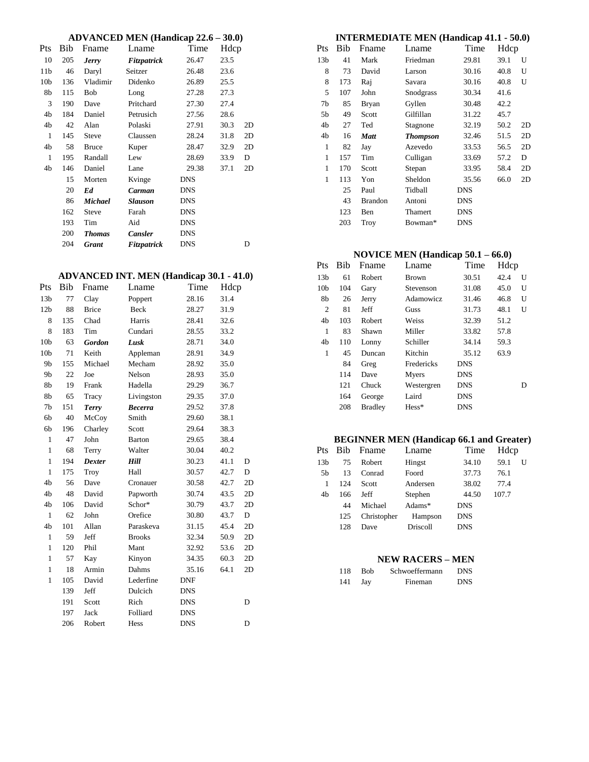| <b>ADVANCED MEN (Handicap 22.6 - 30.0)</b> |  |  |  |
|--------------------------------------------|--|--|--|
|--------------------------------------------|--|--|--|

|                 |     |               | $\mathbf{A}$ $\mathbf{B}$ $\mathbf{C}$ $\mathbf{A}$ $\mathbf{D}$ $\mathbf{A}$ $\mathbf{B}$ $\mathbf{B}$ $\mathbf{C}$ $\mathbf{D}$ $\mathbf{A}$ $\mathbf{B}$ $\mathbf{B}$ $\mathbf{C}$ $\mathbf{D}$ $\mathbf{D}$ $\mathbf{A}$ $\mathbf{B}$ $\mathbf{B}$ $\mathbf{C}$ $\mathbf{D}$ $\mathbf{D}$ $\mathbf{D}$ $\mathbf{A}$ $\mathbf{$ |            | JV.V |    |
|-----------------|-----|---------------|------------------------------------------------------------------------------------------------------------------------------------------------------------------------------------------------------------------------------------------------------------------------------------------------------------------------------------|------------|------|----|
| Pts             | Bib | Fname         | Lname                                                                                                                                                                                                                                                                                                                              | Time       | Hdcp |    |
| 10              | 205 | <b>Jerry</b>  | Fitzpatrick                                                                                                                                                                                                                                                                                                                        | 26.47      | 23.5 |    |
| 11b             | 46  | Daryl         | Seitzer                                                                                                                                                                                                                                                                                                                            | 26.48      | 23.6 |    |
| 10 <sub>b</sub> | 136 | Vladimir      | Didenko                                                                                                                                                                                                                                                                                                                            | 26.89      | 25.5 |    |
| 8b              | 115 | Bob           | Long                                                                                                                                                                                                                                                                                                                               | 27.28      | 27.3 |    |
| 3               | 190 | Dave          | Pritchard                                                                                                                                                                                                                                                                                                                          | 27.30      | 27.4 |    |
| 4b              | 184 | Daniel        | Petrusich                                                                                                                                                                                                                                                                                                                          | 27.56      | 28.6 |    |
| 4b              | 42  | Alan          | Polaski                                                                                                                                                                                                                                                                                                                            | 27.91      | 30.3 | 2D |
| 1               | 145 | <b>Steve</b>  | Claussen                                                                                                                                                                                                                                                                                                                           | 28.24      | 31.8 | 2D |
| 4b              | 58  | <b>Bruce</b>  | Kuper                                                                                                                                                                                                                                                                                                                              | 28.47      | 32.9 | 2D |
| 1               | 195 | Randall       | Lew                                                                                                                                                                                                                                                                                                                                | 28.69      | 33.9 | D  |
| 4b              | 146 | Daniel        | Lane                                                                                                                                                                                                                                                                                                                               | 29.38      | 37.1 | 2D |
|                 | 15  | Morten        | Kvinge                                                                                                                                                                                                                                                                                                                             | <b>DNS</b> |      |    |
|                 | 20  | Ed            | Carman                                                                                                                                                                                                                                                                                                                             | <b>DNS</b> |      |    |
|                 | 86  | Michael       | <b>Slauson</b>                                                                                                                                                                                                                                                                                                                     | <b>DNS</b> |      |    |
|                 | 162 | <b>Steve</b>  | Farah                                                                                                                                                                                                                                                                                                                              | DNS        |      |    |
|                 | 193 | Tim           | Aid                                                                                                                                                                                                                                                                                                                                | <b>DNS</b> |      |    |
|                 | 200 | <b>Thomas</b> | <b>Cansler</b>                                                                                                                                                                                                                                                                                                                     | <b>DNS</b> |      |    |
|                 | 204 | Grant         | Fitzpatrick                                                                                                                                                                                                                                                                                                                        | <b>DNS</b> |      | D  |
|                 |     |               |                                                                                                                                                                                                                                                                                                                                    |            |      |    |

# **ADVANCED INT. MEN (Handicap 30.1 - 41.0)**

| Pts             | Bib | Fname         | Lname          | Time       | Hdcp |    |
|-----------------|-----|---------------|----------------|------------|------|----|
| 13 <sub>b</sub> | 77  | Clay          | Poppert        | 28.16      | 31.4 |    |
| 12 <sub>b</sub> | 88  | <b>Brice</b>  | Beck           | 28.27      | 31.9 |    |
| 8               | 135 | Chad          | Harris         | 28.41      | 32.6 |    |
| 8               | 183 | Tim           | Cundari        | 28.55      | 33.2 |    |
| 10 <sub>b</sub> | 63  | <b>Gordon</b> | Lusk           | 28.71      | 34.0 |    |
| 10 <sub>b</sub> | 71  | Keith         | Appleman       | 28.91      | 34.9 |    |
| 9b              | 155 | Michael       | Mecham         | 28.92      | 35.0 |    |
| 9b              | 22  | Joe           | Nelson         | 28.93      | 35.0 |    |
| 8b              | 19  | Frank         | Hadella        | 29.29      | 36.7 |    |
| 8b              | 65  | Tracy         | Livingston     | 29.35      | 37.0 |    |
| 7b              | 151 | <b>Terry</b>  | <b>Becerra</b> | 29.52      | 37.8 |    |
| 6b              | 40  | McCoy         | Smith          | 29.60      | 38.1 |    |
| 6b              | 196 | Charley       | Scott          | 29.64      | 38.3 |    |
| $\mathbf{1}$    | 47  | John          | Barton         | 29.65      | 38.4 |    |
| $\mathbf{1}$    | 68  | Terry         | Walter         | 30.04      | 40.2 |    |
| $\mathbf{1}$    | 194 | <b>Dexter</b> | Hill           | 30.23      | 41.1 | D  |
| $\mathbf{1}$    | 175 | Troy          | Hall           | 30.57      | 42.7 | D  |
| 4b              | 56  | Dave          | Cronauer       | 30.58      | 42.7 | 2D |
| 4b              | 48  | David         | Papworth       | 30.74      | 43.5 | 2D |
| 4b              | 106 | David         | Schor*         | 30.79      | 43.7 | 2D |
| $\mathbf{1}$    | 62  | John          | Orefice        | 30.80      | 43.7 | D  |
| 4b              | 101 | Allan         | Paraskeva      | 31.15      | 45.4 | 2D |
| $\mathbf{1}$    | 59  | Jeff          | <b>Brooks</b>  | 32.34      | 50.9 | 2D |
| $\mathbf{1}$    | 120 | Phil          | Mant           | 32.92      | 53.6 | 2D |
| $\mathbf{1}$    | 57  | Kay           | Kinyon         | 34.35      | 60.3 | 2D |
| $\mathbf{1}$    | 18  | Armin         | Dahms          | 35.16      | 64.1 | 2D |
| $\mathbf{1}$    | 105 | David         | Lederfine      | <b>DNF</b> |      |    |
|                 | 139 | Jeff          | Dulcich        | <b>DNS</b> |      |    |
|                 | 191 | Scott         | Rich           | <b>DNS</b> |      | D  |
|                 | 197 | Jack          | Folliard       | <b>DNS</b> |      |    |
|                 | 206 | Robert        | Hess           | <b>DNS</b> |      | D  |
|                 |     |               |                |            |      |    |

| <b>INTERMEDIATE MEN (Handicap 41.1 - 50.0)</b> |  |  |
|------------------------------------------------|--|--|
|------------------------------------------------|--|--|

| Pts             | Bib | Fname          | Lname           | Time       | Hdcp |    |
|-----------------|-----|----------------|-----------------|------------|------|----|
| 13 <sub>b</sub> | 41  | Mark           | Friedman        | 29.81      | 39.1 | U  |
| 8               | 73  | David          | Larson          | 30.16      | 40.8 | U  |
| 8               | 173 | Raj            | Savara          | 30.16      | 40.8 | U  |
| 5               | 107 | John           | Snodgrass       | 30.34      | 41.6 |    |
| 7 <sub>b</sub>  | 85  | Bryan          | Gyllen          | 30.48      | 42.2 |    |
| 5b              | 49  | Scott          | Gilfillan       | 31.22      | 45.7 |    |
| 4b              | 27  | Ted            | Stagnone        | 32.19      | 50.2 | 2D |
| 4b              | 16  | <b>Matt</b>    | <b>Thompson</b> | 32.46      | 51.5 | 2D |
| 1               | 82  | Jay            | Azevedo         | 33.53      | 56.5 | 2D |
| $\mathbf{1}$    | 157 | Tim            | Culligan        | 33.69      | 57.2 | D  |
| 1               | 170 | Scott          | Stepan          | 33.95      | 58.4 | 2D |
| 1               | 113 | Yon            | Sheldon         | 35.56      | 66.0 | 2D |
|                 | 25  | Paul           | Tidball         | <b>DNS</b> |      |    |
|                 | 43  | <b>Brandon</b> | Antoni          | <b>DNS</b> |      |    |
|                 | 123 | Ben            | Thamert         | <b>DNS</b> |      |    |
|                 | 203 | <b>Troy</b>    | Bowman*         | DNS        |      |    |
|                 |     |                |                 |            |      |    |

# **NOVICE MEN (Handicap 50.1 – 66.0)**

| Pts             | Bib | Fname          | Lname      | Time       | Hdcp |   |
|-----------------|-----|----------------|------------|------------|------|---|
| 13 <sub>b</sub> | 61  | Robert         | Brown      | 30.51      | 42.4 | U |
| 10 <sub>b</sub> | 104 | Gary           | Stevenson  | 31.08      | 45.0 | U |
| 8b              | 26  | Jerry          | Adamowicz  | 31.46      | 46.8 | U |
| 2               | 81  | Jeff           | Guss       | 31.73      | 48.1 | U |
| 4b              | 103 | Robert         | Weiss      | 32.39      | 51.2 |   |
| 1               | 83  | Shawn          | Miller     | 33.82      | 57.8 |   |
| 4b              | 110 | Lonny          | Schiller   | 34.14      | 59.3 |   |
| 1               | 45  | Duncan         | Kitchin    | 35.12      | 63.9 |   |
|                 | 84  | Greg           | Fredericks | <b>DNS</b> |      |   |
|                 | 114 | Dave           | Myers      | <b>DNS</b> |      |   |
|                 | 121 | Chuck          | Westergren | <b>DNS</b> |      | D |
|                 | 164 | George         | Laird      | <b>DNS</b> |      |   |
|                 | 208 | <b>Bradley</b> | $Hess*$    | <b>DNS</b> |      |   |

### **BEGINNER MEN (Handicap 66.1 and Greater)**

| <b>Pts</b>      | Bib. | Fname       | Lname     | Time       | Hdcp  |   |
|-----------------|------|-------------|-----------|------------|-------|---|
| 13 <sub>b</sub> | 75   | Robert      | Hingst    | 34.10      | 59.1  | Н |
| .5b             | 13   | Conrad      | Foord     | 37.73      | 76.1  |   |
| 1               | 124  | Scott       | Andersen  | 38.02      | 77.4  |   |
| 4b              | 166  | Jeff        | Stephen   | 44.50      | 107.7 |   |
|                 | 44   | Michael     | Adams $*$ | <b>DNS</b> |       |   |
|                 | 125  | Christopher | Hampson   | <b>DNS</b> |       |   |
|                 | 128  | Dave        | Driscoll  | <b>DNS</b> |       |   |

#### **NEW RACERS – MEN**

| 118. | - Bob      | Schwoeffermann | <b>DNS</b> |
|------|------------|----------------|------------|
| 141  | <b>Jay</b> | Fineman        | <b>DNS</b> |